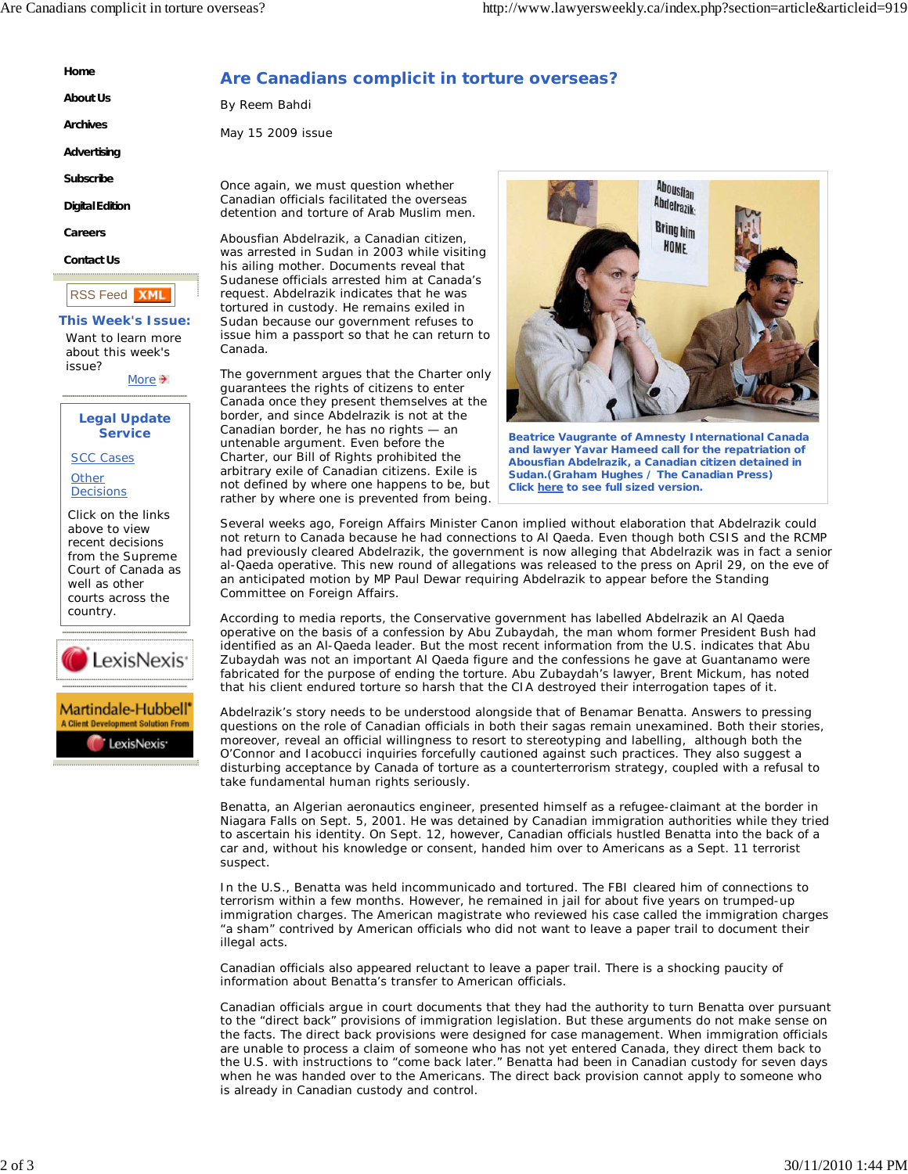**Home About Us**

**Archives Advertising Subscribe Digital Edition Careers Contact Us**

RSS Feed

issue?

**This Week's Issue:** Want to learn more about this week's

> **Legal Update Service**

Click on the links above to view recent decisions from the Supreme Court of Canada as well as other courts across the

.exisNexis<sup>.</sup>

Martindale-Hubbell'

LexisNexis<sup>-</sup>

SCC Cases **Other Decisions** 

country.

More  $\rightarrow$ 

**XMI** 

## **Are Canadians complicit in torture overseas?**

By Reem Bahdi

May 15 2009 issue

Once again, we must question whether Canadian officials facilitated the overseas detention and torture of Arab Muslim men.

Abousfian Abdelrazik, a Canadian citizen, was arrested in Sudan in 2003 while visiting his ailing mother. Documents reveal that Sudanese officials arrested him at Canada's request. Abdelrazik indicates that he was tortured in custody. He remains exiled in Sudan because our government refuses to issue him a passport so that he can return to Canada.

The government argues that the Charter only guarantees the rights of citizens to enter Canada once they present themselves at the border, and since Abdelrazik is not at the Canadian border, he has no rights — an untenable argument. Even before the Charter, our Bill of Rights prohibited the arbitrary exile of Canadian citizens. Exile is not defined by where one happens to be, but rather by where one is prevented from being.



**Beatrice Vaugrante of Amnesty International Canada and lawyer Yavar Hameed call for the repatriation of Abousfian Abdelrazik, a Canadian citizen detained in Sudan.(Graham Hughes / The Canadian Press) Click here to see full sized version.**

Several weeks ago, Foreign Affairs Minister Canon implied without elaboration that Abdelrazik could not return to Canada because he had connections to Al Qaeda. Even though both CSIS and the RCMP had previously cleared Abdelrazik, the government is now alleging that Abdelrazik was in fact a senior al-Qaeda operative. This new round of allegations was released to the press on April 29, on the eve of an anticipated motion by MP Paul Dewar requiring Abdelrazik to appear before the Standing Committee on Foreign Affairs.

According to media reports, the Conservative government has labelled Abdelrazik an Al Qaeda operative on the basis of a confession by Abu Zubaydah, the man whom former President Bush had identified as an Al-Qaeda leader. But the most recent information from the U.S. indicates that Abu Zubaydah was not an important Al Qaeda figure and the confessions he gave at Guantanamo were fabricated for the purpose of ending the torture. Abu Zubaydah's lawyer, Brent Mickum, has noted that his client endured torture so harsh that the CIA destroyed their interrogation tapes of it.

Abdelrazik's story needs to be understood alongside that of Benamar Benatta. Answers to pressing questions on the role of Canadian officials in both their sagas remain unexamined. Both their stories, moreover, reveal an official willingness to resort to stereotyping and labelling, although both the O'Connor and Iacobucci inquiries forcefully cautioned against such practices. They also suggest a disturbing acceptance by Canada of torture as a counterterrorism strategy, coupled with a refusal to take fundamental human rights seriously.

Benatta, an Algerian aeronautics engineer, presented himself as a refugee-claimant at the border in Niagara Falls on Sept. 5, 2001. He was detained by Canadian immigration authorities while they tried to ascertain his identity. On Sept. 12, however, Canadian officials hustled Benatta into the back of a car and, without his knowledge or consent, handed him over to Americans as a Sept. 11 terrorist suspect.

In the U.S., Benatta was held incommunicado and tortured. The FBI cleared him of connections to terrorism within a few months. However, he remained in jail for about five years on trumped-up immigration charges. The American magistrate who reviewed his case called the immigration charges "a sham" contrived by American officials who did not want to leave a paper trail to document their illegal acts.

Canadian officials also appeared reluctant to leave a paper trail. There is a shocking paucity of information about Benatta's transfer to American officials.

Canadian officials argue in court documents that they had the authority to turn Benatta over pursuant to the "direct back" provisions of immigration legislation. But these arguments do not make sense on the facts. The direct back provisions were designed for case management. When immigration officials are unable to process a claim of someone who has not yet entered Canada, they direct them back to the U.S. with instructions to "come back later." Benatta had been in Canadian custody for seven days when he was handed over to the Americans. The direct back provision cannot apply to someone who is already in Canadian custody and control.